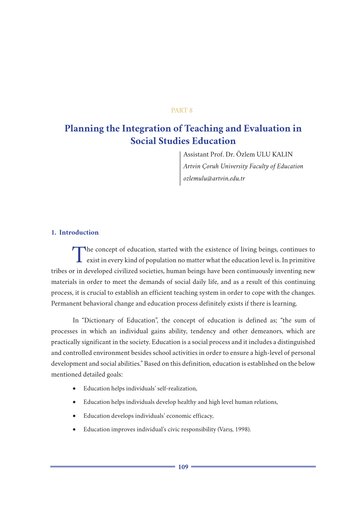## PART 8

# **Planning the Integration of Teaching and Evaluation in Social Studies Education**

Assistant Prof. Dr. Özlem ULU KALIN *Artvin Çoruh University Faculty of Education ozlemulu@artvin.edu.tr*

# **1. Introduction**

The concept of education, started with the existence of living beings, continues to exist in every kind of population no matter what the education level is. In primitive tribes or in developed civilized societies, human beings have been continuously inventing new materials in order to meet the demands of social daily life, and as a result of this continuing process, it is crucial to establish an efficient teaching system in order to cope with the changes. Permanent behavioral change and education process definitely exists if there is learning.

In "Dictionary of Education", the concept of education is defined as; "the sum of processes in which an individual gains ability, tendency and other demeanors, which are practically significant in the society. Education is a social process and it includes a distinguished and controlled environment besides school activities in order to ensure a high-level of personal development and social abilities." Based on this definition, education is established on the below mentioned detailed goals:

- • Education helps individuals' self-realization,
- • Education helps individuals develop healthy and high level human relations,
- • Education develops individuals' economic efficacy,
- • Education improves individual's civic responsibility (Varış, 1998).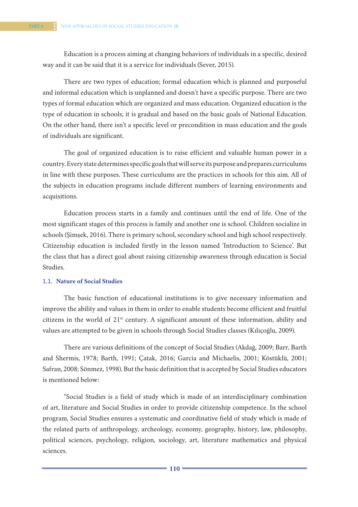Education is a process aiming at changing behaviors of individuals in a specific, desired way and it can be said that it is a service for individuals (Sever, 2015).

There are two types of education; formal education which is planned and purposeful and informal education which is unplanned and doesn't have a specific purpose. There are two types of formal education which are organized and mass education. Organized education is the type of education in schools; it is gradual and based on the basic goals of National Education. On the other hand, there isn't a specific level or precondition in mass education and the goals of individuals are significant.

The goal of organized education is to raise efficient and valuable human power in a country. Every state determines specific goals that will serve its purpose and prepares curriculums in line with these purposes. These curriculums are the practices in schools for this aim. All of the subjects in education programs include different numbers of learning environments and acquisitions.

Education process starts in a family and continues until the end of life. One of the most significant stages of this process is family and another one is school. Children socialize in schools (Şimşek, 2016). There is primary school, secondary school and high school respectively. Citizenship education is included firstly in the lesson named 'Introduction to Science'. But the class that has a direct goal about raising citizenship awareness through education is Social Studies.

## 1.1. **Nature of Social Studies**

The basic function of educational institutions is to give necessary information and improve the ability and values in them in order to enable students become efficient and fruitful citizens in the world of 21st century. A significant amount of these information, ability and values are attempted to be given in schools through Social Studies classes (Kılıçoğlu, 2009).

There are various definitions of the concept of Social Studies (Akdağ, 2009; Barr, Barth and Shermis, 1978; Barth, 1991; Çatak, 2016; Garcia and Michaelis, 2001; Köstüklü, 2001; Safran, 2008; Sönmez, 1998). But the basic definition that is accepted by Social Studies educators is mentioned below:

"Social Studies is a field of study which is made of an interdisciplinary combination of art, literature and Social Studies in order to provide citizenship competence. In the school program, Social Studies ensures a systematic and coordinative field of study which is made of the related parts of anthropology, archeology, economy, geography, history, law, philosophy, political sciences, psychology, religion, sociology, art, literature mathematics and physical sciences.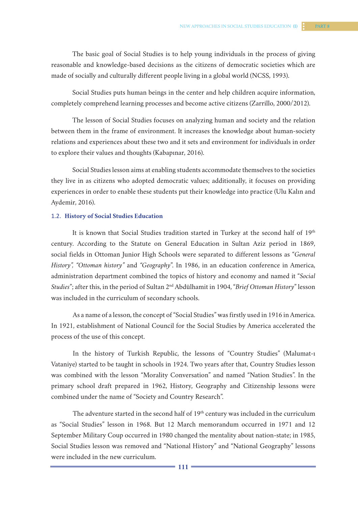The basic goal of Social Studies is to help young individuals in the process of giving reasonable and knowledge-based decisions as the citizens of democratic societies which are made of socially and culturally different people living in a global world (NCSS, 1993).

Social Studies puts human beings in the center and help children acquire information, completely comprehend learning processes and become active citizens (Zarrillo, 2000/2012).

The lesson of Social Studies focuses on analyzing human and society and the relation between them in the frame of environment. It increases the knowledge about human-society relations and experiences about these two and it sets and environment for individuals in order to explore their values and thoughts (Kabapınar, 2016).

Social Studies lesson aims at enabling students accommodate themselves to the societies they live in as citizens who adopted democratic values; additionally, it focuses on providing experiences in order to enable these students put their knowledge into practice (Ulu Kalın and Aydemir, 2016).

#### 1.2. **History of Social Studies Education**

It is known that Social Studies tradition started in Turkey at the second half of 19th century. According to the Statute on General Education in Sultan Aziz period in 1869, social fields in Ottoman Junior High Schools were separated to different lessons as "*General History", "Ottoman history"* and *"Geography*". In 1986, in an education conference in America, administration department combined the topics of history and economy and named it "*Social Studies*"; after this, in the period of Sultan 2nd Abdülhamit in 1904, "*Brief Ottoman History*" lesson was included in the curriculum of secondary schools.

As a name of a lesson, the concept of "Social Studies" was firstly used in 1916 in America. In 1921, establishment of National Council for the Social Studies by America accelerated the process of the use of this concept.

In the history of Turkish Republic, the lessons of "Country Studies" (Malumat-ı Vataniye) started to be taught in schools in 1924. Two years after that, Country Studies lesson was combined with the lesson "Morality Conversation" and named "Nation Studies". In the primary school draft prepared in 1962, History, Geography and Citizenship lessons were combined under the name of "Society and Country Research".

The adventure started in the second half of 19<sup>th</sup> century was included in the curriculum as "Social Studies" lesson in 1968. But 12 March memorandum occurred in 1971 and 12 September Military Coup occurred in 1980 changed the mentality about nation-state; in 1985, Social Studies lesson was removed and "National History" and "National Geography" lessons were included in the new curriculum.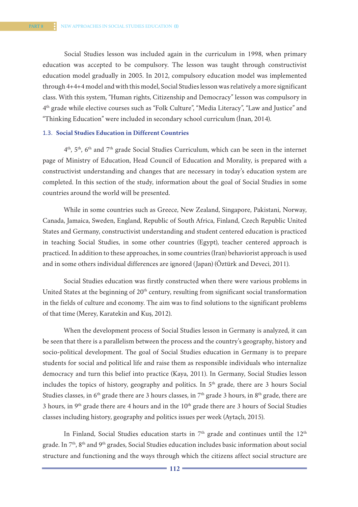Social Studies lesson was included again in the curriculum in 1998, when primary education was accepted to be compulsory. The lesson was taught through constructivist education model gradually in 2005. In 2012, compulsory education model was implemented through 4+4+4 model and with this model, Social Studies lesson was relatively a more significant class. With this system, "Human rights, Citizenship and Democracy" lesson was compulsory in 4th grade while elective courses such as "Folk Culture", "Media Literacy", "Law and Justice" and "Thinking Education" were included in secondary school curriculum (İnan, 2014).

### 1.3. **Social Studies Education in Different Countries**

4th, 5th, 6th and 7th grade Social Studies Curriculum, which can be seen in the internet page of Ministry of Education, Head Council of Education and Morality, is prepared with a constructivist understanding and changes that are necessary in today's education system are completed. In this section of the study, information about the goal of Social Studies in some countries around the world will be presented.

While in some countries such as Greece, New Zealand, Singapore, Pakistani, Norway, Canada, Jamaica, Sweden, England, Republic of South Africa, Finland, Czech Republic United States and Germany, constructivist understanding and student centered education is practiced in teaching Social Studies, in some other countries (Egypt), teacher centered approach is practiced. In addition to these approaches, in some countries (Iran) behaviorist approach is used and in some others individual differences are ignored (Japan) (Öztürk and Deveci, 2011).

Social Studies education was firstly constructed when there were various problems in United States at the beginning of 20<sup>th</sup> century, resulting from significant social transformation in the fields of culture and economy. The aim was to find solutions to the significant problems of that time (Merey, Karatekin and Kuş, 2012).

When the development process of Social Studies lesson in Germany is analyzed, it can be seen that there is a parallelism between the process and the country's geography, history and socio-political development. The goal of Social Studies education in Germany is to prepare students for social and political life and raise them as responsible individuals who internalize democracy and turn this belief into practice (Kaya, 2011). In Germany, Social Studies lesson includes the topics of history, geography and politics. In 5<sup>th</sup> grade, there are 3 hours Social Studies classes, in  $6<sup>th</sup>$  grade there are 3 hours classes, in  $7<sup>th</sup>$  grade 3 hours, in  $8<sup>th</sup>$  grade, there are 3 hours, in  $9<sup>th</sup>$  grade there are 4 hours and in the  $10<sup>th</sup>$  grade there are 3 hours of Social Studies classes including history, geography and politics issues per week (Aytaçlı, 2015).

In Finland, Social Studies education starts in  $7<sup>th</sup>$  grade and continues until the  $12<sup>th</sup>$ grade. In 7<sup>th</sup>, 8<sup>th</sup> and 9<sup>th</sup> grades, Social Studies education includes basic information about social structure and functioning and the ways through which the citizens affect social structure are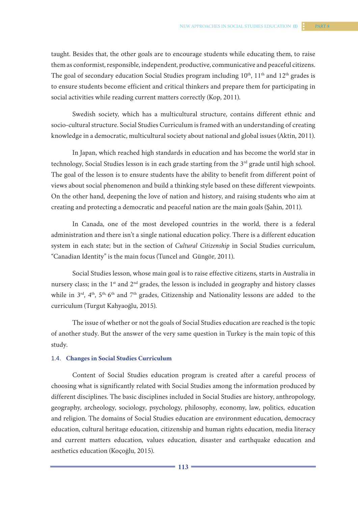taught. Besides that, the other goals are to encourage students while educating them, to raise them as conformist, responsible, independent, productive, communicative and peaceful citizens. The goal of secondary education Social Studies program including 10<sup>th</sup>, 11<sup>th</sup> and 12<sup>th</sup> grades is to ensure students become efficient and critical thinkers and prepare them for participating in social activities while reading current matters correctly (Kop, 2011).

Swedish society, which has a multicultural structure, contains different ethnic and socio-cultural structure. Social Studies Curriculum is framed with an understanding of creating knowledge in a democratic, multicultural society about national and global issues (Aktin, 2011).

In Japan, which reached high standards in education and has become the world star in technology, Social Studies lesson is in each grade starting from the 3<sup>rd</sup> grade until high school. The goal of the lesson is to ensure students have the ability to benefit from different point of views about social phenomenon and build a thinking style based on these different viewpoints. On the other hand, deepening the love of nation and history, and raising students who aim at creating and protecting a democratic and peaceful nation are the main goals (Şahin, 2011).

In Canada, one of the most developed countries in the world, there is a federal administration and there isn't a single national education policy. There is a different education system in each state; but in the section of *Cultural Citizenship* in Social Studies curriculum, "Canadian Identity" is the main focus (Tuncel and Güngör, 2011).

Social Studies lesson, whose main goal is to raise effective citizens, starts in Australia in nursery class; in the  $1<sup>st</sup>$  and  $2<sup>nd</sup>$  grades, the lesson is included in geography and history classes while in  $3^{rd}$ ,  $4^{th}$ ,  $5^{th}$ ,  $6^{th}$  and  $7^{th}$  grades, Citizenship and Nationality lessons are added to the curriculum (Turgut Kahyaoğlu, 2015).

The issue of whether or not the goals of Social Studies education are reached is the topic of another study. But the answer of the very same question in Turkey is the main topic of this study.

#### 1.4. **Changes in Social Studies Curriculum**

Content of Social Studies education program is created after a careful process of choosing what is significantly related with Social Studies among the information produced by different disciplines. The basic disciplines included in Social Studies are history, anthropology, geography, archeology, sociology, psychology, philosophy, economy, law, politics, education and religion. The domains of Social Studies education are environment education, democracy education, cultural heritage education, citizenship and human rights education, media literacy and current matters education, values education, disaster and earthquake education and aesthetics education (Koçoğlu, 2015).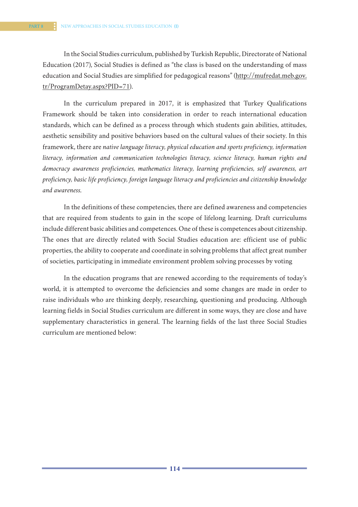In the Social Studies curriculum, published by Turkish Republic, Directorate of National Education (2017), Social Studies is defined as "the class is based on the understanding of mass education and Social Studies are simplified for pedagogical reasons" (http://mufredat.meb.gov. tr/ProgramDetay.aspx?PID=71).

In the curriculum prepared in 2017, it is emphasized that Turkey Qualifications Framework should be taken into consideration in order to reach international education standards, which can be defined as a process through which students gain abilities, attitudes, aesthetic sensibility and positive behaviors based on the cultural values of their society. In this framework, there are *native language literacy, physical education and sports proficiency, information literacy, information and communication technologies literacy, science literacy, human rights and democracy awareness proficiencies, mathematics literacy, learning proficiencies, self awareness, art proficiency, basic life proficiency, foreign language literacy and proficiencies and citizenship knowledge and awareness.*

In the definitions of these competencies, there are defined awareness and competencies that are required from students to gain in the scope of lifelong learning. Draft curriculums include different basic abilities and competences. One of these is competences about citizenship. The ones that are directly related with Social Studies education are: efficient use of public properties, the ability to cooperate and coordinate in solving problems that affect great number of societies, participating in immediate environment problem solving processes by voting

In the education programs that are renewed according to the requirements of today's world, it is attempted to overcome the deficiencies and some changes are made in order to raise individuals who are thinking deeply, researching, questioning and producing. Although learning fields in Social Studies curriculum are different in some ways, they are close and have supplementary characteristics in general. The learning fields of the last three Social Studies curriculum are mentioned below: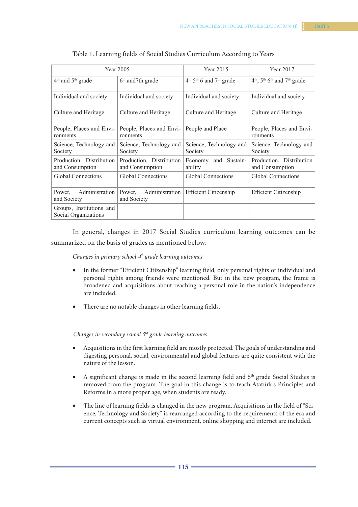| Curriculum According to Years                     |                                                                 |  |  |
|---------------------------------------------------|-----------------------------------------------------------------|--|--|
| Year 2015                                         | Year 2017                                                       |  |  |
| $4th$ 5 <sup>th</sup> 6 and 7 <sup>th</sup> orade | $4th$ 5 <sup>th</sup> 6 <sup>th</sup> and 7 <sup>th</sup> orade |  |  |

|                                                  | Year 2005                                   | Year 2015                              | Year 2017                                               |
|--------------------------------------------------|---------------------------------------------|----------------------------------------|---------------------------------------------------------|
| $4th$ and $5th$ grade                            | $6th$ and 7th grade                         | $4th 5th 6$ and $7th$ grade            | $4th$ , $5th$ 6 <sup>th</sup> and 7 <sup>th</sup> grade |
| Individual and society                           | Individual and society                      | Individual and society                 | Individual and society                                  |
| Culture and Heritage                             | Culture and Heritage                        | Culture and Heritage                   | Culture and Heritage                                    |
| People, Places and Envi-<br>ronments             | People, Places and Envi-<br>ronments        | People and Place                       | People, Places and Envi-<br>ronments                    |
| Science, Technology and<br>Society               | Science, Technology and<br>Society          | Science, Technology and<br>Society     | Science, Technology and<br>Society                      |
| Production, Distribution<br>and Consumption      | Production, Distribution<br>and Consumption | Economy and Sustain-<br>ability        | Production, Distribution<br>and Consumption             |
| Global Connections                               | Global Connections                          | Global Connections                     | <b>Global Connections</b>                               |
| Administration<br>Power,<br>and Society          | Power,<br>and Society                       | Administration   Efficient Citizenship | <b>Efficient Citizenship</b>                            |
| Groups, Institutions and<br>Social Organizations |                                             |                                        |                                                         |

| Table 1. Learning fields of Social Studies Curriculum According to Years |  |
|--------------------------------------------------------------------------|--|
|--------------------------------------------------------------------------|--|

In general, changes in 2017 Social Studies curriculum learning outcomes can be summarized on the basis of grades as mentioned below:

*Changes in primary school 4th grade learning outcomes*

- • In the former "Efficient Citizenship" learning field, only personal rights of individual and personal rights among friends were mentioned. But in the new program, the frame is broadened and acquisitions about reaching a personal role in the nation's independence are included.
- There are no notable changes in other learning fields.

*Changes in secondary school 5th grade learning outcomes*

- Acquisitions in the first learning field are mostly protected. The goals of understanding and digesting personal, social, environmental and global features are quite consistent with the nature of the lesson.
- A significant change is made in the second learning field and  $5<sup>th</sup>$  grade Social Studies is removed from the program. The goal in this change is to teach Atatürk's Principles and Reforms in a more proper age, when students are ready.
- The line of learning fields is changed in the new program. Acquisitions in the field of "Science, Technology and Society" is rearranged according to the requirements of the era and current concepts such as virtual environment, online shopping and internet are included.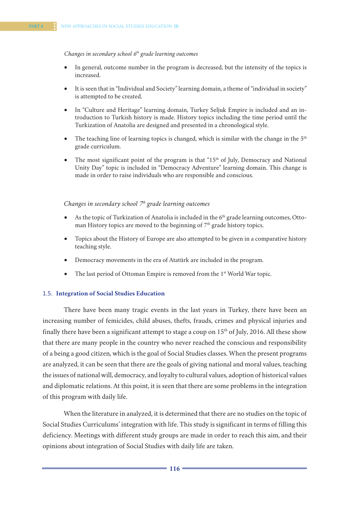#### *Changes in secondary school 6th grade learning outcomes*

- In general, outcome number in the program is decreased, but the intensity of the topics is increased.
- It is seen that in "Individual and Society" learning domain, a theme of "individual in society" is attempted to be created.
- In "Culture and Heritage" learning domain, Turkey Seljuk Empire is included and an introduction to Turkish history is made. History topics including the time period until the Turkization of Anatolia are designed and presented in a chronological style.
- The teaching line of learning topics is changed, which is similar with the change in the  $5<sup>th</sup>$ grade curriculum.
- The most significant point of the program is that "15<sup>th</sup> of July, Democracy and National Unity Day" topic is included in "Democracy Adventure" learning domain. This change is made in order to raise individuals who are responsible and conscious.

#### *Changes in secondary school*  $7<sup>h</sup>$  grade learning outcomes

- As the topic of Turkization of Anatolia is included in the  $6<sup>th</sup>$  grade learning outcomes, Ottoman History topics are moved to the beginning of  $7<sup>th</sup>$  grade history topics.
- Topics about the History of Europe are also attempted to be given in a comparative history teaching style.
- Democracy movements in the era of Atatürk are included in the program.
- The last period of Ottoman Empire is removed from the 1<sup>st</sup> World War topic.

### 1.5. **Integration of Social Studies Education**

There have been many tragic events in the last years in Turkey, there have been an increasing number of femicides, child abuses, thefts, frauds, crimes and physical injuries and finally there have been a significant attempt to stage a coup on 15<sup>th</sup> of July, 2016. All these show that there are many people in the country who never reached the conscious and responsibility of a being a good citizen, which is the goal of Social Studies classes. When the present programs are analyzed, it can be seen that there are the goals of giving national and moral values, teaching the issues of national will, democracy, and loyalty to cultural values, adoption of historical values and diplomatic relations. At this point, it is seen that there are some problems in the integration of this program with daily life.

When the literature in analyzed, it is determined that there are no studies on the topic of Social Studies Curriculums' integration with life. This study is significant in terms of filling this deficiency. Meetings with different study groups are made in order to reach this aim, and their opinions about integration of Social Studies with daily life are taken.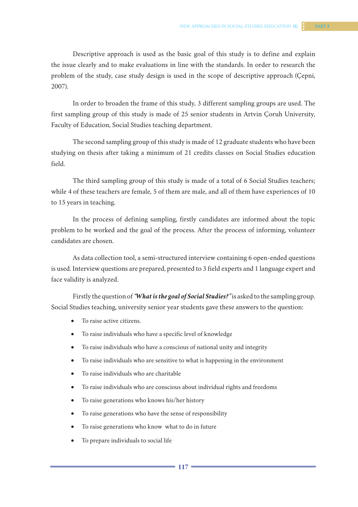In order to broaden the frame of this study, 3 different sampling groups are used. The first sampling group of this study is made of 25 senior students in Artvin Çoruh University, Faculty of Education, Social Studies teaching department.

The second sampling group of this study is made of 12 graduate students who have been studying on thesis after taking a minimum of 21 credits classes on Social Studies education field.

The third sampling group of this study is made of a total of 6 Social Studies teachers; while 4 of these teachers are female, 5 of them are male, and all of them have experiences of 10 to 15 years in teaching.

In the process of defining sampling, firstly candidates are informed about the topic problem to be worked and the goal of the process. After the process of informing, volunteer candidates are chosen.

As data collection tool, a semi-structured interview containing 6 open-ended questions is used. Interview questions are prepared, presented to 3 field experts and 1 language expert and face validity is analyzed.

Firstly the question of *"What is the goal of Social Studies?"* is asked to the sampling group. Social Studies teaching, university senior year students gave these answers to the question:

- To raise active citizens.
- To raise individuals who have a specific level of knowledge
- To raise individuals who have a conscious of national unity and integrity
- To raise individuals who are sensitive to what is happening in the environment
- To raise individuals who are charitable
- To raise individuals who are conscious about individual rights and freedoms
- To raise generations who knows his/her history
- To raise generations who have the sense of responsibility
- To raise generations who know what to do in future
- To prepare individuals to social life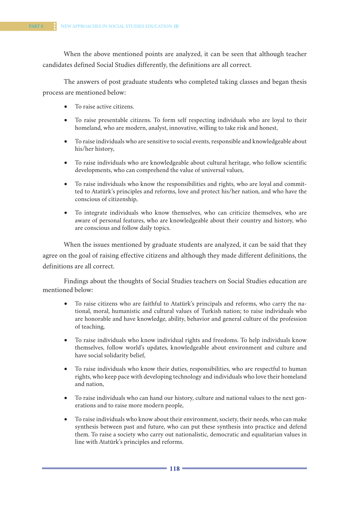When the above mentioned points are analyzed, it can be seen that although teacher candidates defined Social Studies differently, the definitions are all correct.

The answers of post graduate students who completed taking classes and began thesis process are mentioned below:

- To raise active citizens.
- To raise presentable citizens. To form self respecting individuals who are loyal to their homeland, who are modern, analyst, innovative, willing to take risk and honest,
- • To raise individuals who are sensitive to social events, responsible and knowledgeable about his/her history,
- • To raise individuals who are knowledgeable about cultural heritage, who follow scientific developments, who can comprehend the value of universal values,
- • To raise individuals who know the responsibilities and rights, who are loyal and committed to Atatürk's principles and reforms, love and protect his/her nation, and who have the conscious of citizenship,
- • To integrate individuals who know themselves, who can criticize themselves, who are aware of personal features, who are knowledgeable about their country and history, who are conscious and follow daily topics.

When the issues mentioned by graduate students are analyzed, it can be said that they agree on the goal of raising effective citizens and although they made different definitions, the definitions are all correct.

Findings about the thoughts of Social Studies teachers on Social Studies education are mentioned below:

- • To raise citizens who are faithful to Atatürk's principals and reforms, who carry the national, moral, humanistic and cultural values of Turkish nation; to raise individuals who are honorable and have knowledge, ability, behavior and general culture of the profession of teaching,
- • To raise individuals who know individual rights and freedoms. To help individuals know themselves, follow world's updates, knowledgeable about environment and culture and have social solidarity belief,
- • To raise individuals who know their duties, responsibilities, who are respectful to human rights, who keep pace with developing technology and individuals who love their homeland and nation,
- To raise individuals who can hand our history, culture and national values to the next generations and to raise more modern people,
- • To raise individuals who know about their environment, society, their needs, who can make synthesis between past and future, who can put these synthesis into practice and defend them. To raise a society who carry out nationalistic, democratic and equalitarian values in line with Atatürk's principles and reforms.

**118 119**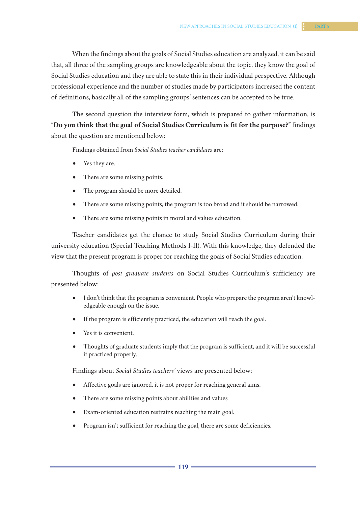The second question the interview form, which is prepared to gather information, is "**Do you think that the goal of Social Studies Curriculum is fit for the purpose?"** findings about the question are mentioned below:

Findings obtained from *Social Studies teacher candidates* are:

- Yes they are.
- There are some missing points.
- The program should be more detailed.
- There are some missing points, the program is too broad and it should be narrowed.
- There are some missing points in moral and values education.

Teacher candidates get the chance to study Social Studies Curriculum during their university education (Special Teaching Methods I-II). With this knowledge, they defended the view that the present program is proper for reaching the goals of Social Studies education.

Thoughts of *post graduate students* on Social Studies Curriculum's sufficiency are presented below:

- • I don't think that the program is convenient. People who prepare the program aren't knowledgeable enough on the issue.
- If the program is efficiently practiced, the education will reach the goal.
- Yes it is convenient.
- Thoughts of graduate students imply that the program is sufficient, and it will be successful if practiced properly.

Findings about *Social Studies teachers'* views are presented below:

- Affective goals are ignored, it is not proper for reaching general aims.
- There are some missing points about abilities and values
- Exam-oriented education restrains reaching the main goal.
- Program isn't sufficient for reaching the goal, there are some deficiencies.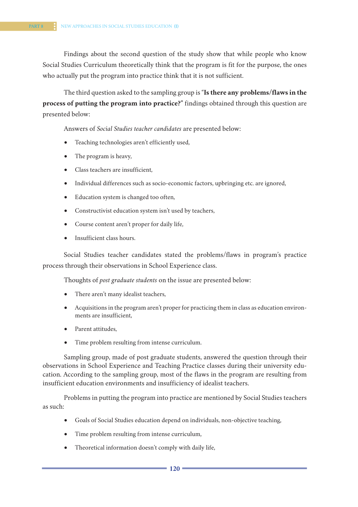Findings about the second question of the study show that while people who know Social Studies Curriculum theoretically think that the program is fit for the purpose, the ones who actually put the program into practice think that it is not sufficient.

The third question asked to the sampling group is "**Is there any problems/flaws in the process of putting the program into practice?"** findings obtained through this question are presented below:

Answers of *Social Studies teacher candidates* are presented below:

- Teaching technologies aren't efficiently used,
- The program is heavy,
- • Class teachers are insufficient,
- Individual differences such as socio-economic factors, upbringing etc. are ignored,
- Education system is changed too often,
- Constructivist education system isn't used by teachers,
- Course content aren't proper for daily life,
- Insufficient class hours.

Social Studies teacher candidates stated the problems/flaws in program's practice process through their observations in School Experience class.

Thoughts of *post graduate students* on the issue are presented below:

- There aren't many idealist teachers,
- • Acquisitions in the program aren't proper for practicing them in class as education environments are insufficient,
- Parent attitudes.
- Time problem resulting from intense curriculum.

Sampling group, made of post graduate students, answered the question through their observations in School Experience and Teaching Practice classes during their university education. According to the sampling group, most of the flaws in the program are resulting from insufficient education environments and insufficiency of idealist teachers.

Problems in putting the program into practice are mentioned by Social Studies teachers as such:

- • Goals of Social Studies education depend on individuals, non-objective teaching,
- Time problem resulting from intense curriculum,
- Theoretical information doesn't comply with daily life,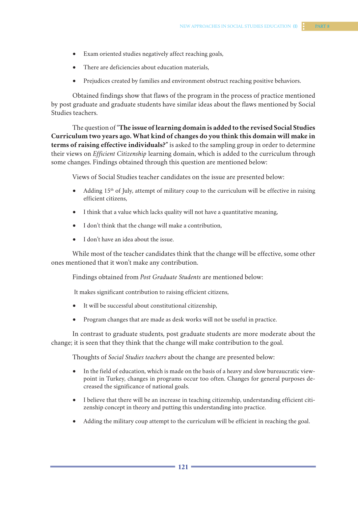- • Exam oriented studies negatively affect reaching goals,
- There are deficiencies about education materials,
- Prejudices created by families and environment obstruct reaching positive behaviors.

Obtained findings show that flaws of the program in the process of practice mentioned by post graduate and graduate students have similar ideas about the flaws mentioned by Social Studies teachers.

The question of "**The issue oflearning domain is added to the revised Social Studies Curriculum two years ago. What kind of changes do you think this domain will make in terms of raising effective individuals?"** is asked to the sampling group in order to determine their views on *Efficient Citizenship* learning domain, which is added to the curriculum through some changes. Findings obtained through this question are mentioned below:

Views of Social Studies teacher candidates on the issue are presented below:

- Adding  $15<sup>th</sup>$  of July, attempt of military coup to the curriculum will be effective in raising efficient citizens,
- I think that a value which lacks quality will not have a quantitative meaning,
- • I don't think that the change will make a contribution,
- • I don't have an idea about the issue.

While most of the teacher candidates think that the change will be effective, some other ones mentioned that it won't make any contribution.

Findings obtained from *Post Graduate Students* are mentioned below:

It makes significant contribution to raising efficient citizens,

- • It will be successful about constitutional citizenship,
- Program changes that are made as desk works will not be useful in practice.

In contrast to graduate students, post graduate students are more moderate about the change; it is seen that they think that the change will make contribution to the goal.

Thoughts of *Social Studies teachers* about the change are presented below:

- In the field of education, which is made on the basis of a heavy and slow bureaucratic viewpoint in Turkey, changes in programs occur too often. Changes for general purposes decreased the significance of national goals.
- I believe that there will be an increase in teaching citizenship, understanding efficient citizenship concept in theory and putting this understanding into practice.
- Adding the military coup attempt to the curriculum will be efficient in reaching the goal.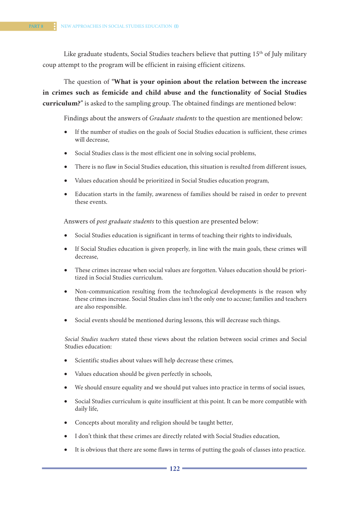Like graduate students, Social Studies teachers believe that putting  $15<sup>th</sup>$  of July military coup attempt to the program will be efficient in raising efficient citizens.

The question of **"What is your opinion about the relation between the increase in crimes such as femicide and child abuse and the functionality of Social Studies curriculum?"** is asked to the sampling group. The obtained findings are mentioned below:

Findings about the answers of *Graduate students* to the question are mentioned below:

- If the number of studies on the goals of Social Studies education is sufficient, these crimes will decrease,
- Social Studies class is the most efficient one in solving social problems,
- There is no flaw in Social Studies education, this situation is resulted from different issues,
- Values education should be prioritized in Social Studies education program,
- • Education starts in the family, awareness of families should be raised in order to prevent these events.

Answers of *post graduate students* to this question are presented below:

- Social Studies education is significant in terms of teaching their rights to individuals,
- If Social Studies education is given properly, in line with the main goals, these crimes will decrease,
- These crimes increase when social values are forgotten. Values education should be prioritized in Social Studies curriculum.
- Non-communication resulting from the technological developments is the reason why these crimes increase. Social Studies class isn't the only one to accuse; families and teachers are also responsible.
- Social events should be mentioned during lessons, this will decrease such things.

*Social Studies teachers* stated these views about the relation between social crimes and Social Studies education:

- Scientific studies about values will help decrease these crimes,
- Values education should be given perfectly in schools,
- We should ensure equality and we should put values into practice in terms of social issues,
- Social Studies curriculum is quite insufficient at this point. It can be more compatible with daily life,
- Concepts about morality and religion should be taught better,
- • I don't think that these crimes are directly related with Social Studies education,
- It is obvious that there are some flaws in terms of putting the goals of classes into practice.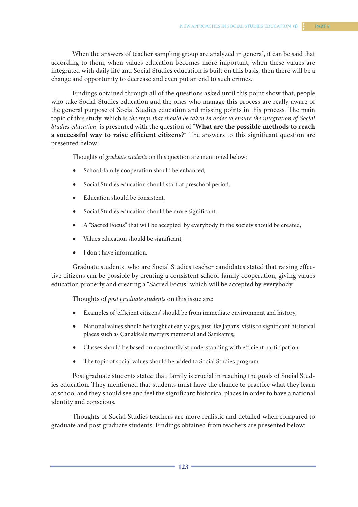When the answers of teacher sampling group are analyzed in general, it can be said that according to them, when values education becomes more important, when these values are integrated with daily life and Social Studies education is built on this basis, then there will be a change and opportunity to decrease and even put an end to such crimes.

Findings obtained through all of the questions asked until this point show that, people who take Social Studies education and the ones who manage this process are really aware of the general purpose of Social Studies education and missing points in this process. The main topic of this study, which is *the steps that should be taken in order to ensure the integration of Social Studies education,* is presented with the question of "**What are the possible methods to reach a successful way to raise efficient citizens**?" The answers to this significant question are presented below:

Thoughts of *graduate students* on this question are mentioned below:

- School-family cooperation should be enhanced,
- Social Studies education should start at preschool period,
- Education should be consistent.
- Social Studies education should be more significant,
- • A "Sacred Focus" that will be accepted by everybody in the society should be created,
- Values education should be significant,
- I don't have information.

Graduate students, who are Social Studies teacher candidates stated that raising effective citizens can be possible by creating a consistent school-family cooperation, giving values education properly and creating a "Sacred Focus" which will be accepted by everybody.

Thoughts of *post graduate students* on this issue are:

- Examples of 'efficient citizens' should be from immediate environment and history,
- • National values should be taught at early ages, just like Japans, visits to significant historical places such as Çanakkale martyrs memorial and Sarıkamış,
- Classes should be based on constructivist understanding with efficient participation,
- The topic of social values should be added to Social Studies program

Post graduate students stated that, family is crucial in reaching the goals of Social Studies education. They mentioned that students must have the chance to practice what they learn at school and they should see and feel the significant historical places in order to have a national identity and conscious.

Thoughts of Social Studies teachers are more realistic and detailed when compared to graduate and post graduate students. Findings obtained from teachers are presented below: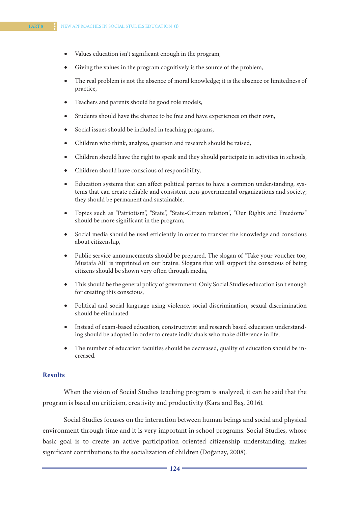- Values education isn't significant enough in the program,
- Giving the values in the program cognitively is the source of the problem,
- The real problem is not the absence of moral knowledge; it is the absence or limitedness of practice,
- Teachers and parents should be good role models,
- Students should have the chance to be free and have experiences on their own,
- Social issues should be included in teaching programs,
- Children who think, analyze, question and research should be raised,
- Children should have the right to speak and they should participate in activities in schools,
- Children should have conscious of responsibility,
- Education systems that can affect political parties to have a common understanding, systems that can create reliable and consistent non-governmental organizations and society; they should be permanent and sustainable.
- Topics such as "Patriotism", "State", "State-Citizen relation", "Our Rights and Freedoms" should be more significant in the program,
- Social media should be used efficiently in order to transfer the knowledge and conscious about citizenship,
- Public service announcements should be prepared. The slogan of "Take your voucher too, Mustafa Ali" is imprinted on our brains. Slogans that will support the conscious of being citizens should be shown very often through media,
- This should be the general policy of government. Only Social Studies education isn't enough for creating this conscious,
- • Political and social language using violence, social discrimination, sexual discrimination should be eliminated,
- Instead of exam-based education, constructivist and research based education understanding should be adopted in order to create individuals who make difference in life,
- The number of education faculties should be decreased, quality of education should be increased.

### **Results**

When the vision of Social Studies teaching program is analyzed, it can be said that the program is based on criticism, creativity and productivity (Kara and Baş, 2016).

Social Studies focuses on the interaction between human beings and social and physical environment through time and it is very important in school programs. Social Studies, whose basic goal is to create an active participation oriented citizenship understanding, makes significant contributions to the socialization of children (Doğanay, 2008).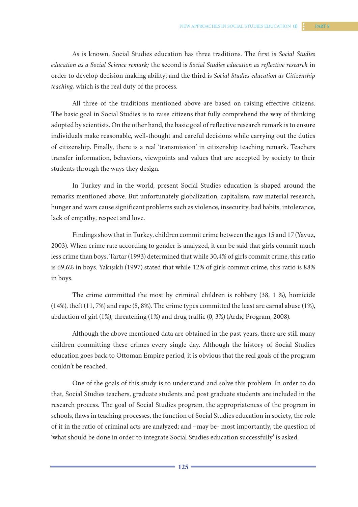As is known, Social Studies education has three traditions. The first is *Social Studies education as a Social Science remark;* the second is *Social Studies education as reflective research* in order to develop decision making ability; and the third is *Social Studies education as Citizenship teaching,* which is the real duty of the process.

All three of the traditions mentioned above are based on raising effective citizens. The basic goal in Social Studies is to raise citizens that fully comprehend the way of thinking adopted by scientists. On the other hand, the basic goal of reflective research remark is to ensure individuals make reasonable, well-thought and careful decisions while carrying out the duties of citizenship. Finally, there is a real 'transmission' in citizenship teaching remark. Teachers transfer information, behaviors, viewpoints and values that are accepted by society to their students through the ways they design.

In Turkey and in the world, present Social Studies education is shaped around the remarks mentioned above. But unfortunately globalization, capitalism, raw material research, hunger and wars cause significant problems such as violence, insecurity, bad habits, intolerance, lack of empathy, respect and love.

Findings show that in Turkey, children commit crime between the ages 15 and 17 (Yavuz, 2003). When crime rate according to gender is analyzed, it can be said that girls commit much less crime than boys. Tartar (1993) determined that while 30,4% of girls commit crime, this ratio is 69,6% in boys. Yakışıklı (1997) stated that while 12% of girls commit crime, this ratio is 88% in boys.

The crime committed the most by criminal children is robbery (38, 1 %), homicide (14%), theft (11, 7%) and rape (8, 8%). The crime types committed the least are carnal abuse (1%), abduction of girl (1%), threatening (1%) and drug traffic (0, 3%) (Ardıç Program, 2008).

Although the above mentioned data are obtained in the past years, there are still many children committing these crimes every single day. Although the history of Social Studies education goes back to Ottoman Empire period, it is obvious that the real goals of the program couldn't be reached.

One of the goals of this study is to understand and solve this problem. In order to do that, Social Studies teachers, graduate students and post graduate students are included in the research process. The goal of Social Studies program, the appropriateness of the program in schools, flaws in teaching processes, the function of Social Studies education in society, the role of it in the ratio of criminal acts are analyzed; and –may be- most importantly, the question of 'what should be done in order to integrate Social Studies education successfully' is asked.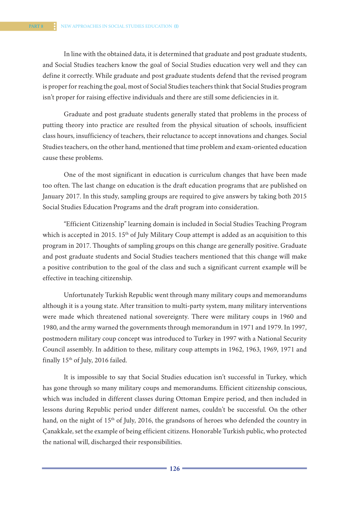In line with the obtained data, it is determined that graduate and post graduate students, and Social Studies teachers know the goal of Social Studies education very well and they can define it correctly. While graduate and post graduate students defend that the revised program is proper for reaching the goal, most of Social Studies teachers think that Social Studies program isn't proper for raising effective individuals and there are still some deficiencies in it.

Graduate and post graduate students generally stated that problems in the process of putting theory into practice are resulted from the physical situation of schools, insufficient class hours, insufficiency of teachers, their reluctance to accept innovations and changes. Social Studies teachers, on the other hand, mentioned that time problem and exam-oriented education cause these problems.

One of the most significant in education is curriculum changes that have been made too often. The last change on education is the draft education programs that are published on January 2017. In this study, sampling groups are required to give answers by taking both 2015 Social Studies Education Programs and the draft program into consideration.

"Efficient Citizenship" learning domain is included in Social Studies Teaching Program which is accepted in 2015. 15<sup>th</sup> of July Military Coup attempt is added as an acquisition to this program in 2017. Thoughts of sampling groups on this change are generally positive. Graduate and post graduate students and Social Studies teachers mentioned that this change will make a positive contribution to the goal of the class and such a significant current example will be effective in teaching citizenship.

Unfortunately Turkish Republic went through many military coups and memorandums although it is a young state. After transition to multi-party system, many military interventions were made which threatened national sovereignty. There were military coups in 1960 and 1980, and the army warned the governments through memorandum in 1971 and 1979. In 1997, postmodern military coup concept was introduced to Turkey in 1997 with a National Security Council assembly. In addition to these, military coup attempts in 1962, 1963, 1969, 1971 and finally 15th of July, 2016 failed.

It is impossible to say that Social Studies education isn't successful in Turkey, which has gone through so many military coups and memorandums. Efficient citizenship conscious, which was included in different classes during Ottoman Empire period, and then included in lessons during Republic period under different names, couldn't be successful. On the other hand, on the night of 15<sup>th</sup> of July, 2016, the grandsons of heroes who defended the country in Çanakkale, set the example of being efficient citizens. Honorable Turkish public, who protected the national will, discharged their responsibilities.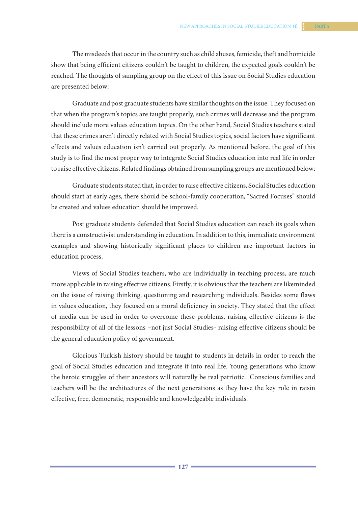The misdeeds that occur in the country such as child abuses, femicide, theft and homicide show that being efficient citizens couldn't be taught to children, the expected goals couldn't be reached. The thoughts of sampling group on the effect of this issue on Social Studies education are presented below:

Graduate and post graduate students have similar thoughts on the issue. They focused on that when the program's topics are taught properly, such crimes will decrease and the program should include more values education topics. On the other hand, Social Studies teachers stated that these crimes aren't directly related with Social Studies topics, social factors have significant effects and values education isn't carried out properly. As mentioned before, the goal of this study is to find the most proper way to integrate Social Studies education into real life in order to raise effective citizens. Related findings obtained from sampling groups are mentioned below:

Graduate students stated that, in order to raise effective citizens, Social Studies education should start at early ages, there should be school-family cooperation, "Sacred Focuses" should be created and values education should be improved.

Post graduate students defended that Social Studies education can reach its goals when there is a constructivist understanding in education. In addition to this, immediate environment examples and showing historically significant places to children are important factors in education process.

Views of Social Studies teachers, who are individually in teaching process, are much more applicable in raising effective citizens. Firstly, it is obvious that the teachers are likeminded on the issue of raising thinking, questioning and researching individuals. Besides some flaws in values education, they focused on a moral deficiency in society. They stated that the effect of media can be used in order to overcome these problems, raising effective citizens is the responsibility of all of the lessons –not just Social Studies- raising effective citizens should be the general education policy of government.

Glorious Turkish history should be taught to students in details in order to reach the goal of Social Studies education and integrate it into real life. Young generations who know the heroic struggles of their ancestors will naturally be real patriotic. Conscious families and teachers will be the architectures of the next generations as they have the key role in raisin effective, free, democratic, responsible and knowledgeable individuals.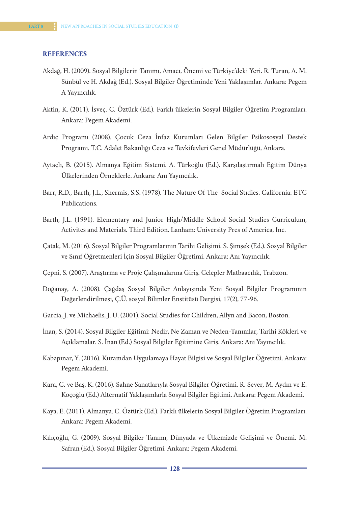#### **REFERENCES**

- Akdağ, H. (2009). Sosyal Bilgilerin Tanımı, Amacı, Önemi ve Türkiye'deki Yeri. R. Turan, A. M. Sünbül ve H. Akdağ (Ed.). Sosyal Bilgiler Öğretiminde Yeni Yaklaşımlar. Ankara: Pegem A Yayıncılık.
- Aktin, K. (2011). İsveç. C. Öztürk (Ed.). Farklı ülkelerin Sosyal Bilgiler Öğretim Programları. Ankara: Pegem Akademi.
- Ardıç Programı (2008). Çocuk Ceza İnfaz Kurumları Gelen Bilgiler Psikososyal Destek Programı. T.C. Adalet Bakanlığı Ceza ve Tevkifevleri Genel Müdürlüğü, Ankara.
- Aytaçlı, B. (2015). Almanya Eğitim Sistemi. A. Türkoğlu (Ed.). Karşılaştırmalı Eğitim Dünya Ülkelerinden Örneklerle. Ankara: Anı Yayıncılık.
- Barr, R.D., Barth, J.L., Shermis, S.S. (1978). The Nature Of The Social Stıdies. California: ETC Publications.
- Barth, J.L. (1991). Elementary and Junior High/Middle School Social Studies Curriculum, Activites and Materials. Third Edition. Lanham: University Pres of America, Inc.
- Çatak, M. (2016). Sosyal Bilgiler Programlarının Tarihi Gelişimi. S. Şimşek (Ed.). Sosyal Bilgiler ve Sınıf Öğretmenleri İçin Sosyal Bilgiler Öğretimi. Ankara: Anı Yayıncılık.
- Çepni, S. (2007). Araştırma ve Proje Çalışmalarına Giriş. Celepler Matbaacılık, Trabzon.
- Doğanay, A. (2008). Çağdaş Sosyal Bilgiler Anlayışında Yeni Sosyal Bilgiler Programının Değerlendirilmesi, Ç.Ü. sosyal Bilimler Enstitüsü Dergisi, 17(2), 77-96.
- Garcia, J. ve Michaelis, J. U. (2001). Social Studies for Children, Allyn and Bacon, Boston.
- İnan, S. (2014). Sosyal Bilgiler Eğitimi: Nedir, Ne Zaman ve Neden-Tanımlar, Tarihi Kökleri ve Açıklamalar. S. İnan (Ed.) Sosyal Bilgiler Eğitimine Giriş. Ankara: Anı Yayıncılık.
- Kabapınar, Y. (2016). Kuramdan Uygulamaya Hayat Bilgisi ve Sosyal Bilgiler Öğretimi. Ankara: Pegem Akademi.
- Kara, C. ve Baş, K. (2016). Sahne Sanatlarıyla Sosyal Bilgiler Öğretimi. R. Sever, M. Aydın ve E. Koçoğlu (Ed.) Alternatif Yaklaşımlarla Sosyal Bilgiler Eğitimi. Ankara: Pegem Akademi.
- Kaya, E. (2011). Almanya. C. Öztürk (Ed.). Farklı ülkelerin Sosyal Bilgiler Öğretim Programları. Ankara: Pegem Akademi.
- Kılıçoğlu, G. (2009). Sosyal Bilgiler Tanımı, Dünyada ve Ülkemizde Gelişimi ve Önemi. M. Safran (Ed.). Sosyal Bilgiler Öğretimi. Ankara: Pegem Akademi.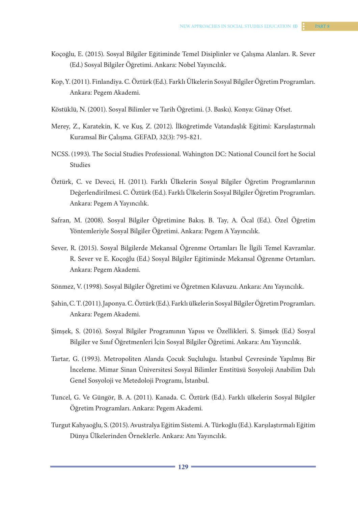- Koçoğlu, E. (2015). Sosyal Bilgiler Eğitiminde Temel Disiplinler ve Çalışma Alanları. R. Sever (Ed.) Sosyal Bilgiler Öğretimi. Ankara: Nobel Yayıncılık.
- Kop, Y. (2011). Finlandiya. C. Öztürk (Ed.). Farklı Ülkelerin Sosyal Bilgiler Öğretim Programları. Ankara: Pegem Akademi.
- Köstüklü, N. (2001). Sosyal Bilimler ve Tarih Öğretimi. (3. Baskı). Konya: Günay Ofset.
- Merey, Z., Karatekin, K. ve Kuş, Z. (2012). İlköğretimde Vatandaşlık Eğitimi: Karşılaştırmalı Kuramsal Bir Çalışma. GEFAD, 32(3): 795-821.
- NCSS. (1993). The Social Studies Professional. Wahington DC: National Council fort he Social Studies
- Öztürk, C. ve Deveci, H. (2011). Farklı Ülkelerin Sosyal Bilgiler Öğretim Programlarının Değerlendirilmesi. C. Öztürk (Ed.). Farklı Ülkelerin Sosyal Bilgiler Öğretim Programları. Ankara: Pegem A Yayıncılık.
- Safran, M. (2008). Sosyal Bilgiler Öğretimine Bakış. B. Tay, A. Öcal (Ed.). Özel Öğretim Yöntemleriyle Sosyal Bilgiler Öğretimi. Ankara: Pegem A Yayıncılık.
- Sever, R. (2015). Sosyal Bilgilerde Mekansal Öğrenme Ortamları İle İlgili Temel Kavramlar. R. Sever ve E. Koçoğlu (Ed.) Sosyal Bilgiler Eğitiminde Mekansal Öğrenme Ortamları. Ankara: Pegem Akademi.
- Sönmez, V. (1998). Sosyal Bilgiler Öğretimi ve Öğretmen Kılavuzu. Ankara: Anı Yayıncılık.
- Şahin, C. T. (2011). Japonya. C. Öztürk (Ed.). Farklı ülkelerin Sosyal Bilgiler Öğretim Programları. Ankara: Pegem Akademi.
- Şimşek, S. (2016). Sosyal Bilgiler Programının Yapısı ve Özellikleri. S. Şimşek (Ed.) Sosyal Bilgiler ve Sınıf Öğretmenleri İçin Sosyal Bilgiler Öğretimi. Ankara: Anı Yayıncılık.
- Tartar, G. (1993). Metropoliten Alanda Çocuk Suçluluğu. İstanbul Çevresinde Yapılmış Bir İnceleme. Mimar Sinan Üniversitesi Sosyal Bilimler Enstitüsü Sosyoloji Anabilim Dalı Genel Sosyoloji ve Metedoloji Programı, İstanbul.
- Tuncel, G. Ve Güngör, B. A. (2011). Kanada. C. Öztürk (Ed.). Farklı ülkelerin Sosyal Bilgiler Öğretim Programları. Ankara: Pegem Akademi.
- Turgut Kahyaoğlu, S. (2015). Avustralya Eğitim Sistemi. A. Türkoğlu (Ed.). Karşılaştırmalı Eğitim Dünya Ülkelerinden Örneklerle. Ankara: Anı Yayıncılık.